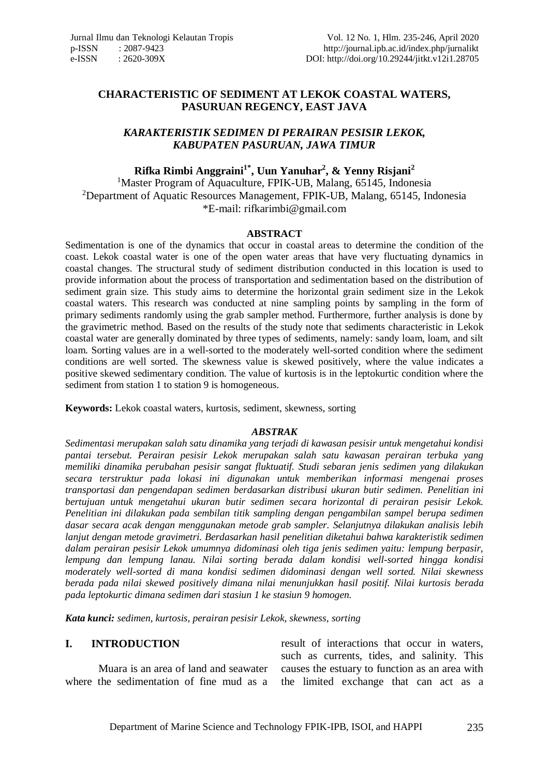### **CHARACTERISTIC OF SEDIMENT AT LEKOK COASTAL WATERS, PASURUAN REGENCY, EAST JAVA**

## *KARAKTERISTIK SEDIMEN DI PERAIRAN PESISIR LEKOK, KABUPATEN PASURUAN, JAWA TIMUR*

**Rifka Rimbi Anggraini1\*, Uun Yanuhar<sup>2</sup> , & Yenny Risjani<sup>2</sup>**

<sup>1</sup>Master Program of Aquaculture, FPIK-UB, Malang, 65145, Indonesia <sup>2</sup>Department of Aquatic Resources Management, FPIK-UB, Malang,  $65145$ , Indonesia \*E-mail: [rifkarimbi@gmail.com](mailto:rifkarimbi@gmail.com)

#### **ABSTRACT**

Sedimentation is one of the dynamics that occur in coastal areas to determine the condition of the coast. Lekok coastal water is one of the open water areas that have very fluctuating dynamics in coastal changes. The structural study of sediment distribution conducted in this location is used to provide information about the process of transportation and sedimentation based on the distribution of sediment grain size. This study aims to determine the horizontal grain sediment size in the Lekok coastal waters. This research was conducted at nine sampling points by sampling in the form of primary sediments randomly using the grab sampler method. Furthermore, further analysis is done by the gravimetric method. Based on the results of the study note that sediments characteristic in Lekok coastal water are generally dominated by three types of sediments, namely: sandy loam, loam, and silt loam. Sorting values are in a well-sorted to the moderately well-sorted condition where the sediment conditions are well sorted. The skewness value is skewed positively, where the value indicates a positive skewed sedimentary condition. The value of kurtosis is in the leptokurtic condition where the sediment from station 1 to station 9 is homogeneous.

**Keywords:** Lekok coastal waters, kurtosis, sediment, skewness, sorting

#### *ABSTRAK*

*Sedimentasi merupakan salah satu dinamika yang terjadi di kawasan pesisir untuk mengetahui kondisi pantai tersebut. Perairan pesisir Lekok merupakan salah satu kawasan perairan terbuka yang memiliki dinamika perubahan pesisir sangat fluktuatif. Studi sebaran jenis sedimen yang dilakukan secara terstruktur pada lokasi ini digunakan untuk memberikan informasi mengenai proses transportasi dan pengendapan sedimen berdasarkan distribusi ukuran butir sedimen. Penelitian ini bertujuan untuk mengetahui ukuran butir sedimen secara horizontal di perairan pesisir Lekok. Penelitian ini dilakukan pada sembilan titik sampling dengan pengambilan sampel berupa sedimen dasar secara acak dengan menggunakan metode grab sampler. Selanjutnya dilakukan analisis lebih lanjut dengan metode gravimetri. Berdasarkan hasil penelitian diketahui bahwa karakteristik sedimen dalam perairan pesisir Lekok umumnya didominasi oleh tiga jenis sedimen yaitu: lempung berpasir, lempung dan lempung lanau. Nilai sorting berada dalam kondisi well-sorted hingga kondisi moderately well-sorted di mana kondisi sedimen didominasi dengan well sorted. Nilai skewness berada pada nilai skewed positively dimana nilai menunjukkan hasil positif. Nilai kurtosis berada pada leptokurtic dimana sedimen dari stasiun 1 ke stasiun 9 homogen.*

*Kata kunci: sedimen, kurtosis, perairan pesisir Lekok, skewness, sorting*

### **I. INTRODUCTION**

Muara is an area of land and seawater where the sedimentation of fine mud as a result of interactions that occur in waters, such as currents, tides, and salinity. This causes the estuary to function as an area with the limited exchange that can act as a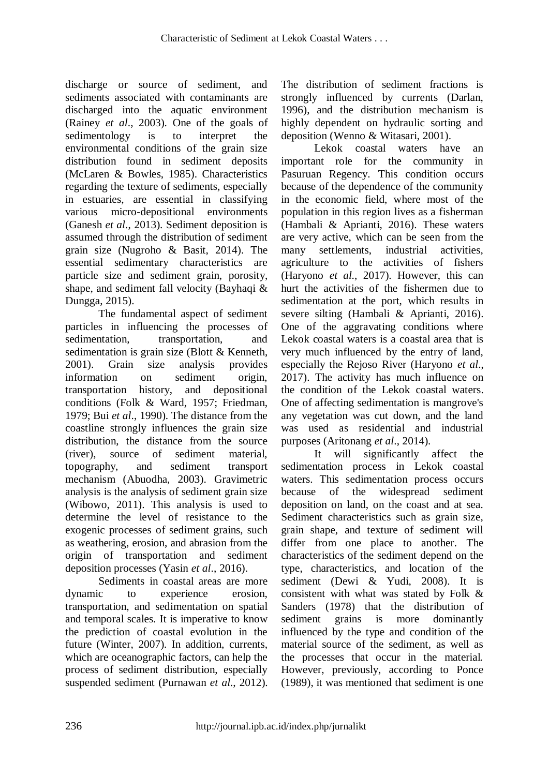discharge or source of sediment, and sediments associated with contaminants are discharged into the aquatic environment (Rainey *et al*., 2003). One of the goals of sedimentology is to interpret the environmental conditions of the grain size distribution found in sediment deposits (McLaren & Bowles, 1985). Characteristics regarding the texture of sediments, especially in estuaries, are essential in classifying various micro-depositional environments (Ganesh *et al*., 2013). Sediment deposition is assumed through the distribution of sediment grain size (Nugroho & Basit, 2014). The essential sedimentary characteristics are particle size and sediment grain, porosity, shape, and sediment fall velocity (Bayhaqi & Dungga, 2015).

The fundamental aspect of sediment particles in influencing the processes of sedimentation, transportation, and sedimentation is grain size (Blott & Kenneth, 2001). Grain size analysis provides information on sediment origin, transportation history, and depositional conditions (Folk & Ward, 1957; Friedman, 1979; Bui *et al*., 1990). The distance from the coastline strongly influences the grain size distribution, the distance from the source (river), source of sediment material, topography, and sediment transport mechanism (Abuodha, 2003). Gravimetric analysis is the analysis of sediment grain size (Wibowo, 2011). This analysis is used to determine the level of resistance to the exogenic processes of sediment grains, such as weathering, erosion, and abrasion from the origin of transportation and sediment deposition processes (Yasin *et al*., 2016).

Sediments in coastal areas are more dynamic to experience erosion, transportation, and sedimentation on spatial and temporal scales. It is imperative to know the prediction of coastal evolution in the future (Winter, 2007). In addition, currents, which are oceanographic factors, can help the process of sediment distribution, especially suspended sediment (Purnawan *et al*., 2012).

The distribution of sediment fractions is strongly influenced by currents (Darlan, 1996), and the distribution mechanism is highly dependent on hydraulic sorting and deposition (Wenno & Witasari, 2001).

Lekok coastal waters have an important role for the community in Pasuruan Regency. This condition occurs because of the dependence of the community in the economic field, where most of the population in this region lives as a fisherman (Hambali & Aprianti, 2016). These waters are very active, which can be seen from the many settlements, industrial activities, agriculture to the activities of fishers (Haryono *et al*., 2017). However, this can hurt the activities of the fishermen due to sedimentation at the port, which results in severe silting (Hambali & Aprianti, 2016). One of the aggravating conditions where Lekok coastal waters is a coastal area that is very much influenced by the entry of land, especially the Rejoso River (Haryono *et al*., 2017). The activity has much influence on the condition of the Lekok coastal waters. One of affecting sedimentation is mangrove's any vegetation was cut down, and the land was used as residential and industrial purposes (Aritonang *et al*., 2014).

It will significantly affect the sedimentation process in Lekok coastal waters. This sedimentation process occurs because of the widespread sediment deposition on land, on the coast and at sea. Sediment characteristics such as grain size, grain shape, and texture of sediment will differ from one place to another. The characteristics of the sediment depend on the type, characteristics, and location of the sediment (Dewi & Yudi, 2008). It is consistent with what was stated by Folk & Sanders (1978) that the distribution of sediment grains is more dominantly influenced by the type and condition of the material source of the sediment, as well as the processes that occur in the material. However, previously, according to Ponce (1989), it was mentioned that sediment is one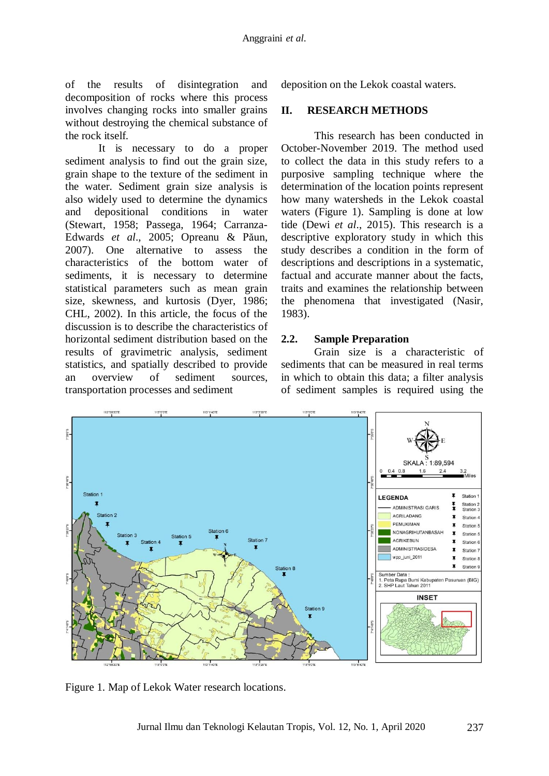of the results of disintegration and decomposition of rocks where this process involves changing rocks into smaller grains without destroying the chemical substance of the rock itself.

It is necessary to do a proper sediment analysis to find out the grain size, grain shape to the texture of the sediment in the water. Sediment grain size analysis is also widely used to determine the dynamics and depositional conditions in water (Stewart, 1958; Passega, 1964; Carranza-Edwards *et al*., 2005; Opreanu & Păun, 2007). One alternative to assess the characteristics of the bottom water of sediments, it is necessary to determine statistical parameters such as mean grain size, skewness, and kurtosis (Dyer, 1986; CHL, 2002). In this article, the focus of the discussion is to describe the characteristics of horizontal sediment distribution based on the results of gravimetric analysis, sediment statistics, and spatially described to provide an overview of sediment sources, transportation processes and sediment

deposition on the Lekok coastal waters.

### **II. RESEARCH METHODS**

This research has been conducted in October-November 2019. The method used to collect the data in this study refers to a purposive sampling technique where the determination of the location points represent how many watersheds in the Lekok coastal waters (Figure 1). Sampling is done at low tide (Dewi *et al*., 2015). This research is a descriptive exploratory study in which this study describes a condition in the form of descriptions and descriptions in a systematic, factual and accurate manner about the facts, traits and examines the relationship between the phenomena that investigated (Nasir, 1983).

### **2.2. Sample Preparation**

Grain size is a characteristic of sediments that can be measured in real terms in which to obtain this data; a filter analysis of sediment samples is required using the



Figure 1. Map of Lekok Water research locations.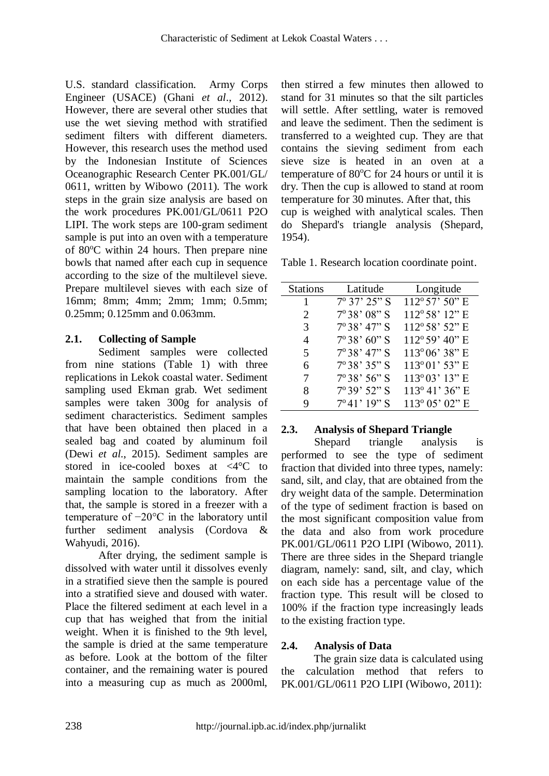U.S. standard classification. Army Corps Engineer (USACE) (Ghani *et al*., 2012). However, there are several other studies that use the wet sieving method with stratified sediment filters with different diameters. However, this research uses the method used by the Indonesian Institute of Sciences Oceanographic Research Center PK.001/GL/ 0611, written by Wibowo (2011). The work steps in the grain size analysis are based on the work procedures PK.001/GL/0611 P2O LIPI. The work steps are 100-gram sediment sample is put into an oven with a temperature of  $80^{\circ}$ C within 24 hours. Then prepare nine bowls that named after each cup in sequence according to the size of the multilevel sieve. Prepare multilevel sieves with each size of 16mm; 8mm; 4mm; 2mm; 1mm; 0.5mm; 0.25mm; 0.125mm and 0.063mm.

# **2.1. Collecting of Sample**

Sediment samples were collected from nine stations (Table 1) with three replications in Lekok coastal water. Sediment sampling used Ekman grab. Wet sediment samples were taken 300g for analysis of sediment characteristics. Sediment samples that have been obtained then placed in a sealed bag and coated by aluminum foil (Dewi *et al*., 2015). Sediment samples are stored in ice-cooled boxes at <4°C to maintain the sample conditions from the sampling location to the laboratory. After that, the sample is stored in a freezer with a temperature of −20°C in the laboratory until further sediment analysis (Cordova & Wahyudi, 2016).

After drying, the sediment sample is dissolved with water until it dissolves evenly in a stratified sieve then the sample is poured into a stratified sieve and doused with water. Place the filtered sediment at each level in a cup that has weighed that from the initial weight. When it is finished to the 9th level, the sample is dried at the same temperature as before. Look at the bottom of the filter container, and the remaining water is poured into a measuring cup as much as 2000ml,

then stirred a few minutes then allowed to stand for 31 minutes so that the silt particles will settle. After settling, water is removed and leave the sediment. Then the sediment is transferred to a weighted cup. They are that contains the sieving sediment from each sieve size is heated in an oven at a temperature of  $80^{\circ}$ C for 24 hours or until it is dry. Then the cup is allowed to stand at room temperature for 30 minutes. After that, this cup is weighed with analytical scales. Then do Shepard's triangle analysis (Shepard, 1954).

Table 1. Research location coordinate point.

| <b>Stations</b> | Latitude              | Longitude                |
|-----------------|-----------------------|--------------------------|
| 1               | $7^{\circ}$ 37' 25" S | 112° 57' 50" E           |
| 2               | $7^{\circ}38'$ 08" S  | $112^{\circ}58'$ $12"$ E |
| 3               | $7^{\circ}38'$ 47" S  | 112°58' 52" E            |
| $\overline{4}$  | $7^{\circ}38'$ 60" S  | $112^{\circ}59'$ 40" E   |
| 5               | $7^{\circ}38'$ 47" S  | 113°06' 38" E            |
| 6               | $7^{\circ}38'35''$ S  | 113°01' 53" E            |
| 7               | $7^{\circ}38'$ 56" S  | 113°03' 13" E            |
| 8               | $7^{\circ}39'$ 52" S  | 113° 41' 36" E           |
| 9               | $7^{\circ}41'$ 19" S  | $113^{\circ}$ 05' 02" E  |

# **2.3. Analysis of Shepard Triangle**

Shepard triangle analysis is performed to see the type of sediment fraction that divided into three types, namely: sand, silt, and clay, that are obtained from the dry weight data of the sample. Determination of the type of sediment fraction is based on the most significant composition value from the data and also from work procedure PK.001/GL/0611 P2O LIPI (Wibowo, 2011). There are three sides in the Shepard triangle diagram, namely: sand, silt, and clay, which on each side has a percentage value of the fraction type. This result will be closed to 100% if the fraction type increasingly leads to the existing fraction type.

## **2.4. Analysis of Data**

The grain size data is calculated using the calculation method that refers to PK.001/GL/0611 P2O LIPI (Wibowo, 2011):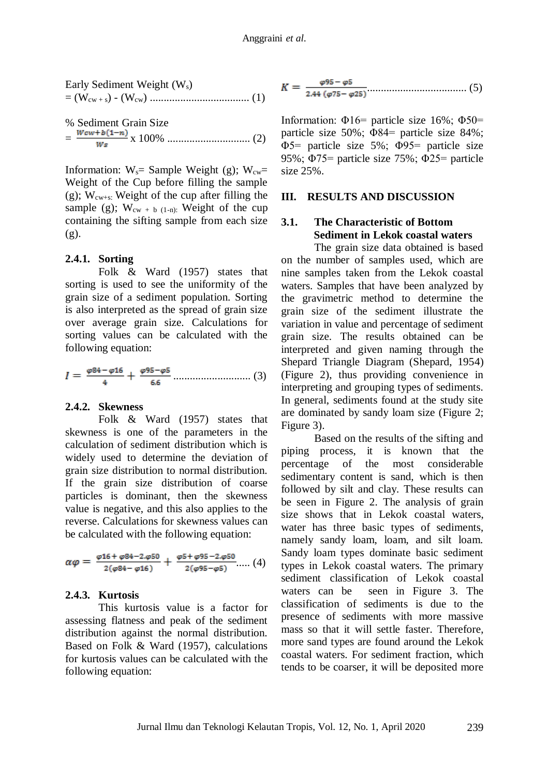Early Sediment Weight 
$$
(W_s)
$$
  
=  $(W_{cw+s}) - (W_{cw})$  ................. (1)

% Sediment Grain Size = x 100% .............................. (2)

Information:  $W_s =$  Sample Weight (g);  $W_{cw} =$ Weight of the Cup before filling the sample (g);  $W_{\text{cw}+s}$ : Weight of the cup after filling the sample (g);  $W_{cw + b}$  (1-n): Weight of the cup containing the sifting sample from each size (g).

### **2.4.1. Sorting**

Folk & Ward (1957) states that sorting is used to see the uniformity of the grain size of a sediment population. Sorting is also interpreted as the spread of grain size over average grain size. Calculations for sorting values can be calculated with the following equation:

............................ (3)

#### **2.4.2. Skewness**

Folk & Ward (1957) states that skewness is one of the parameters in the calculation of sediment distribution which is widely used to determine the deviation of grain size distribution to normal distribution. If the grain size distribution of coarse particles is dominant, then the skewness value is negative, and this also applies to the reverse. Calculations for skewness values can be calculated with the following equation:

$$
\alpha \varphi = \frac{\varphi 16 + \varphi 84 - 2 \cdot \varphi 50}{2(\varphi 84 - \varphi 16)} + \frac{\varphi 5 + \varphi 95 - 2 \cdot \varphi 50}{2(\varphi 95 - \varphi 5)} \dots (4)
$$

#### **2.4.3. Kurtosis**

This kurtosis value is a factor for assessing flatness and peak of the sediment distribution against the normal distribution. Based on Folk & Ward (1957), calculations for kurtosis values can be calculated with the following equation:

$$
K = \frac{\varphi 95 - \varphi 5}{2.44 \ (\varphi 75 - \varphi 25)} \dots \dots \dots \dots \dots \dots \dots \dots \dots \dots \dots \dots \dots \tag{5}
$$

Information:  $\Phi$ 16= particle size 16%;  $\Phi$ 50= particle size 50%; Φ84= particle size 84%; Φ5= particle size 5%; Φ95= particle size 95%; Φ75= particle size 75%; Φ25= particle size 25%.

#### **III. RESULTS AND DISCUSSION**

# **3.1. The Characteristic of Bottom Sediment in Lekok coastal waters**

The grain size data obtained is based on the number of samples used, which are nine samples taken from the Lekok coastal waters. Samples that have been analyzed by the gravimetric method to determine the grain size of the sediment illustrate the variation in value and percentage of sediment grain size. The results obtained can be interpreted and given naming through the Shepard Triangle Diagram (Shepard, 1954) (Figure 2), thus providing convenience in interpreting and grouping types of sediments. In general, sediments found at the study site are dominated by sandy loam size (Figure 2; Figure 3).

Based on the results of the sifting and piping process, it is known that the percentage of the most considerable sedimentary content is sand, which is then followed by silt and clay. These results can be seen in Figure 2. The analysis of grain size shows that in Lekok coastal waters, water has three basic types of sediments, namely sandy loam, loam, and silt loam. Sandy loam types dominate basic sediment types in Lekok coastal waters. The primary sediment classification of Lekok coastal waters can be seen in Figure 3. The classification of sediments is due to the presence of sediments with more massive mass so that it will settle faster. Therefore, more sand types are found around the Lekok coastal waters. For sediment fraction, which tends to be coarser, it will be deposited more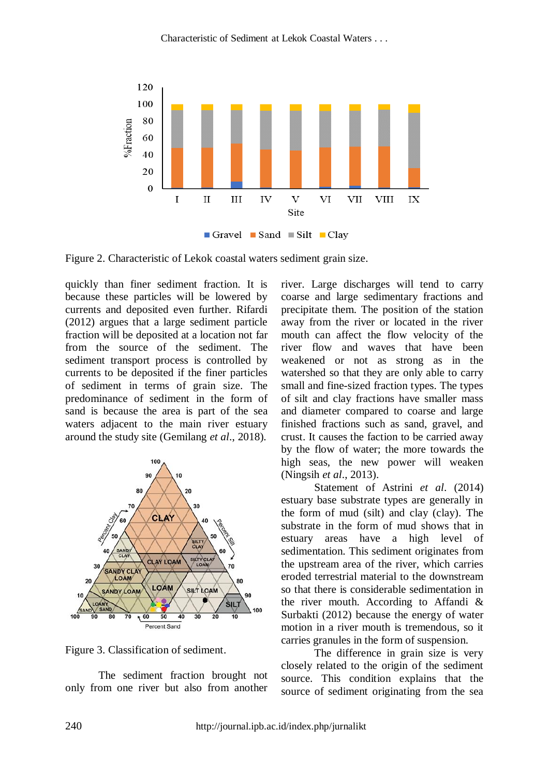

Figure 2. Characteristic of Lekok coastal waters sediment grain size.

quickly than finer sediment fraction. It is because these particles will be lowered by currents and deposited even further. Rifardi (2012) argues that a large sediment particle fraction will be deposited at a location not far from the source of the sediment. The sediment transport process is controlled by currents to be deposited if the finer particles of sediment in terms of grain size. The predominance of sediment in the form of sand is because the area is part of the sea waters adjacent to the main river estuary around the study site (Gemilang *et al*., 2018).



Figure 3. Classification of sediment.

The sediment fraction brought not only from one river but also from another river. Large discharges will tend to carry coarse and large sedimentary fractions and precipitate them. The position of the station away from the river or located in the river mouth can affect the flow velocity of the river flow and waves that have been weakened or not as strong as in the watershed so that they are only able to carry small and fine-sized fraction types. The types of silt and clay fractions have smaller mass and diameter compared to coarse and large finished fractions such as sand, gravel, and crust. It causes the faction to be carried away by the flow of water; the more towards the high seas, the new power will weaken (Ningsih *et al*., 2013).

Statement of Astrini *et al*. (2014) estuary base substrate types are generally in the form of mud (silt) and clay (clay). The substrate in the form of mud shows that in estuary areas have a high level of sedimentation. This sediment originates from the upstream area of the river, which carries eroded terrestrial material to the downstream so that there is considerable sedimentation in the river mouth. According to Affandi & Surbakti (2012) because the energy of water motion in a river mouth is tremendous, so it carries granules in the form of suspension.

The difference in grain size is very closely related to the origin of the sediment source. This condition explains that the source of sediment originating from the sea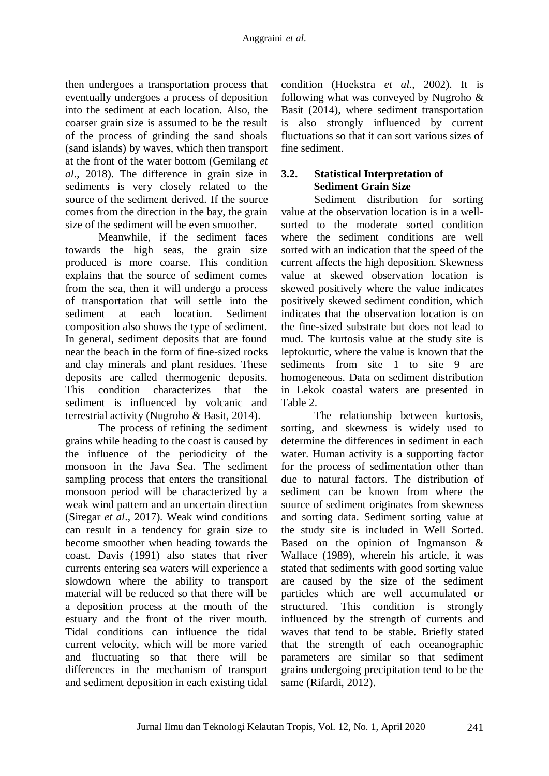then undergoes a transportation process that eventually undergoes a process of deposition into the sediment at each location. Also, the coarser grain size is assumed to be the result of the process of grinding the sand shoals (sand islands) by waves, which then transport at the front of the water bottom (Gemilang *et al*., 2018). The difference in grain size in sediments is very closely related to the source of the sediment derived. If the source comes from the direction in the bay, the grain size of the sediment will be even smoother.

Meanwhile, if the sediment faces towards the high seas, the grain size produced is more coarse. This condition explains that the source of sediment comes from the sea, then it will undergo a process of transportation that will settle into the sediment at each location. Sediment composition also shows the type of sediment. In general, sediment deposits that are found near the beach in the form of fine-sized rocks and clay minerals and plant residues. These deposits are called thermogenic deposits. This condition characterizes that the sediment is influenced by volcanic and terrestrial activity (Nugroho & Basit, 2014).

The process of refining the sediment grains while heading to the coast is caused by the influence of the periodicity of the monsoon in the Java Sea. The sediment sampling process that enters the transitional monsoon period will be characterized by a weak wind pattern and an uncertain direction (Siregar *et al*., 2017). Weak wind conditions can result in a tendency for grain size to become smoother when heading towards the coast. Davis (1991) also states that river currents entering sea waters will experience a slowdown where the ability to transport material will be reduced so that there will be a deposition process at the mouth of the estuary and the front of the river mouth. Tidal conditions can influence the tidal current velocity, which will be more varied and fluctuating so that there will be differences in the mechanism of transport and sediment deposition in each existing tidal

condition (Hoekstra *et al*., 2002). It is following what was conveyed by Nugroho & Basit (2014), where sediment transportation is also strongly influenced by current fluctuations so that it can sort various sizes of fine sediment.

# **3.2. Statistical Interpretation of Sediment Grain Size**

Sediment distribution for sorting value at the observation location is in a wellsorted to the moderate sorted condition where the sediment conditions are well sorted with an indication that the speed of the current affects the high deposition. Skewness value at skewed observation location is skewed positively where the value indicates positively skewed sediment condition, which indicates that the observation location is on the fine-sized substrate but does not lead to mud. The kurtosis value at the study site is leptokurtic, where the value is known that the sediments from site 1 to site 9 are homogeneous. Data on sediment distribution in Lekok coastal waters are presented in Table 2.

The relationship between kurtosis, sorting, and skewness is widely used to determine the differences in sediment in each water. Human activity is a supporting factor for the process of sedimentation other than due to natural factors. The distribution of sediment can be known from where the source of sediment originates from skewness and sorting data. Sediment sorting value at the study site is included in Well Sorted. Based on the opinion of Ingmanson & Wallace (1989), wherein his article, it was stated that sediments with good sorting value are caused by the size of the sediment particles which are well accumulated or structured. This condition is strongly influenced by the strength of currents and waves that tend to be stable. Briefly stated that the strength of each oceanographic parameters are similar so that sediment grains undergoing precipitation tend to be the same (Rifardi, 2012).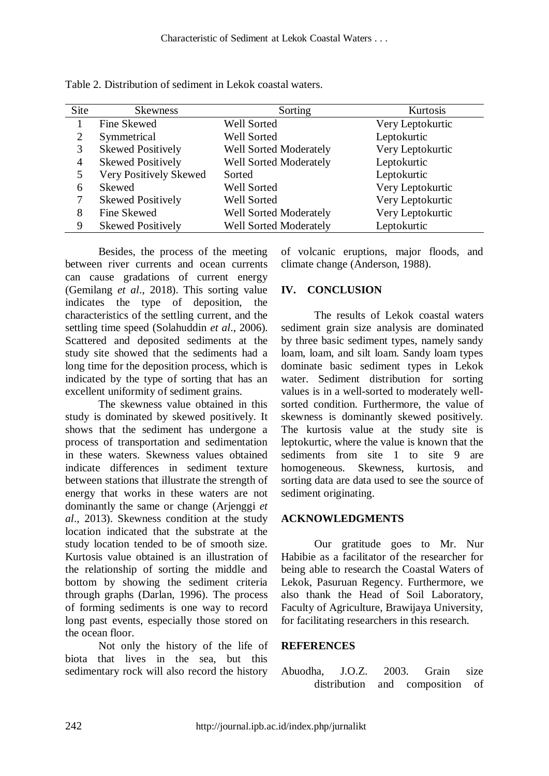| Site | <b>Skewness</b>          | Sorting                       | Kurtosis         |
|------|--------------------------|-------------------------------|------------------|
|      | Fine Skewed              | Well Sorted                   | Very Leptokurtic |
| 2    | Symmetrical              | Well Sorted                   | Leptokurtic      |
| 3    | <b>Skewed Positively</b> | <b>Well Sorted Moderately</b> | Very Leptokurtic |
| 4    | <b>Skewed Positively</b> | Well Sorted Moderately        | Leptokurtic      |
|      | Very Positively Skewed   | Sorted                        | Leptokurtic      |
| 6    | Skewed                   | Well Sorted                   | Very Leptokurtic |
|      | <b>Skewed Positively</b> | Well Sorted                   | Very Leptokurtic |
| 8    | Fine Skewed              | <b>Well Sorted Moderately</b> | Very Leptokurtic |
| 9    | <b>Skewed Positively</b> | <b>Well Sorted Moderately</b> | Leptokurtic      |

Table 2. Distribution of sediment in Lekok coastal waters.

Besides, the process of the meeting between river currents and ocean currents can cause gradations of current energy (Gemilang *et al*., 2018). This sorting value indicates the type of deposition, the characteristics of the settling current, and the settling time speed (Solahuddin *et al*., 2006). Scattered and deposited sediments at the study site showed that the sediments had a long time for the deposition process, which is indicated by the type of sorting that has an excellent uniformity of sediment grains.

The skewness value obtained in this study is dominated by skewed positively. It shows that the sediment has undergone a process of transportation and sedimentation in these waters. Skewness values obtained indicate differences in sediment texture between stations that illustrate the strength of energy that works in these waters are not dominantly the same or change (Arjenggi *et al*., 2013). Skewness condition at the study location indicated that the substrate at the study location tended to be of smooth size. Kurtosis value obtained is an illustration of the relationship of sorting the middle and bottom by showing the sediment criteria through graphs (Darlan, 1996). The process of forming sediments is one way to record long past events, especially those stored on the ocean floor.

Not only the history of the life of biota that lives in the sea, but this sedimentary rock will also record the history of volcanic eruptions, major floods, and climate change (Anderson, 1988).

## **IV. CONCLUSION**

The results of Lekok coastal waters sediment grain size analysis are dominated by three basic sediment types, namely sandy loam, loam, and silt loam. Sandy loam types dominate basic sediment types in Lekok water. Sediment distribution for sorting values is in a well-sorted to moderately wellsorted condition. Furthermore, the value of skewness is dominantly skewed positively. The kurtosis value at the study site is leptokurtic, where the value is known that the sediments from site 1 to site 9 are homogeneous. Skewness, kurtosis, and sorting data are data used to see the source of sediment originating.

## **ACKNOWLEDGMENTS**

Our gratitude goes to Mr. Nur Habibie as a facilitator of the researcher for being able to research the Coastal Waters of Lekok, Pasuruan Regency. Furthermore, we also thank the Head of Soil Laboratory, Faculty of Agriculture, Brawijaya University, for facilitating researchers in this research.

## **REFERENCES**

Abuodha, J.O.Z. 2003. Grain size distribution and composition of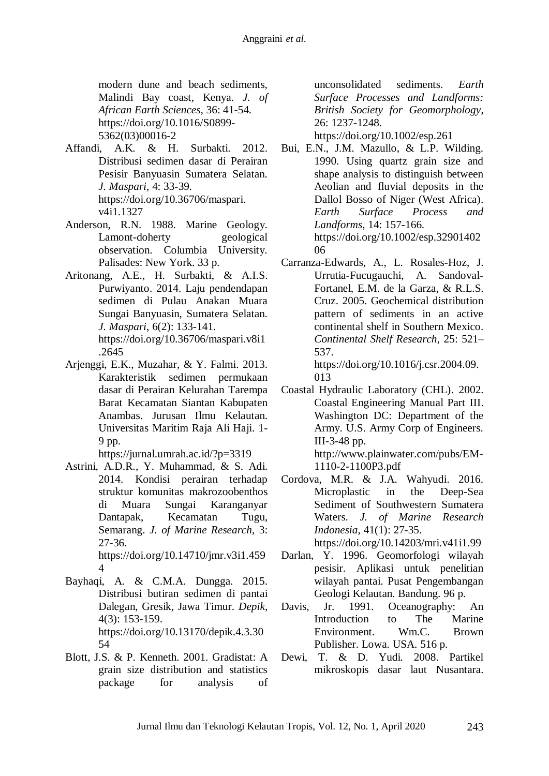modern dune and beach sediments, Malindi Bay coast, Kenya. *J. of African Earth Sciences,* 36: 41-54. https://doi.org[/10.1016/S0899-](https://ui.adsabs.harvard.edu/link_gateway/2003JAfES..36...41A/doi:10.1016/S0899-5362(03)00016-2) [5362\(03\)00016-2](https://ui.adsabs.harvard.edu/link_gateway/2003JAfES..36...41A/doi:10.1016/S0899-5362(03)00016-2)

- Affandi, A.K. & H. Surbakti. 2012. Distribusi sedimen dasar di Perairan Pesisir Banyuasin Sumatera Selatan. *J. Maspari*, 4: 33-39. [https://doi.org/10.36706/maspari.](https://doi.org/10.36706/maspari.%20v4i1.1327)  [v4i1.1327](https://doi.org/10.36706/maspari.%20v4i1.1327)
- Anderson, R.N. 1988. Marine Geology. Lamont-doherty geological observation. Columbia University. Palisades: New York. 33 p.
- Aritonang, A.E., H. Surbakti, & A.I.S. Purwiyanto. 2014. Laju pendendapan sedimen di Pulau Anakan Muara Sungai Banyuasin, Sumatera Selatan. *J. Maspari*, 6(2): 133-141. [https://doi.org/10.36706/maspari.v8i1](https://doi.org/10.36706/maspari.v8i1.2645) [.2645](https://doi.org/10.36706/maspari.v8i1.2645)
- Arjenggi, E.K., Muzahar, & Y. Falmi. 2013. Karakteristik sedimen permukaan dasar di Perairan Kelurahan Tarempa Barat Kecamatan Siantan Kabupaten Anambas. Jurusan Ilmu Kelautan. Universitas Maritim Raja Ali Haji. 1- 9 pp.

<https://jurnal.umrah.ac.id/?p=3319>

Astrini, A.D.R., Y. Muhammad, & S. Adi. 2014. Kondisi perairan terhadap struktur komunitas makrozoobenthos di Muara Sungai Karanganyar Dantapak, Kecamatan Tugu, Semarang. *J. of Marine Research*, 3: 27-36. [https://doi.org/10.14710/jmr.v3i1.459](https://doi.org/10.14710/jmr.v3i1.4594)

[4](https://doi.org/10.14710/jmr.v3i1.4594) Bayhaqi, A. & C.M.A. Dungga. 2015. Distribusi butiran sedimen di pantai Dalegan, Gresik, Jawa Timur. *Depik,*  4(3): 153-159. https://doi.org/10.13170/depik.4.3.30 54

Blott, J.S. & P. Kenneth. 2001. Gradistat: A grain size distribution and statistics package for analysis of

unconsolidated sediments. *Earth Surface Processes and Landforms: British Society for Geomorphology*, 26: 1237-1248.

https://doi.org/10.1002/esp.261

- Bui, E.N., J.M. Mazullo, & L.P. Wilding. 1990. Using quartz grain size and shape analysis to distinguish between Aeolian and fluvial deposits in the Dallol Bosso of Niger (West Africa). *Earth Surface Process and Landforms*, 14: 157-166. https://doi.org/10.1002/esp.32901402 06
- Carranza-Edwards, A., L. Rosales-Hoz, J. Urrutia-Fucugauchi, A. Sandoval-Fortanel, E.M. de la Garza, & R.L.S. Cruz. 2005. Geochemical distribution pattern of sediments in an active continental shelf in Southern Mexico. *Continental Shelf Research*, 25: 521– 537.

https://doi.org[/10.1016/j.csr.2004.09.](https://www.researchgate.net/deref/http%3A%2F%2Fdx.doi.org%2F10.1016%2Fj.csr.2004.09.013) [013](https://www.researchgate.net/deref/http%3A%2F%2Fdx.doi.org%2F10.1016%2Fj.csr.2004.09.013)

- Coastal Hydraulic Laboratory (CHL). 2002. Coastal Engineering Manual Part III. Washington DC: Department of the Army. U.S. Army Corp of Engineers. III-3-48 pp. [http://www.plainwater.com/pubs/EM-](http://www.plainwater.com/pubs/EM-1110-2-1100P3.pdf)[1110-2-1100P3.pdf](http://www.plainwater.com/pubs/EM-1110-2-1100P3.pdf)
- Cordova, M.R. & J.A. Wahyudi. 2016. Microplastic in the Deep-Sea Sediment of Southwestern Sumatera Waters. *J. of Marine Research Indonesia*, 41(1): 27-35. <https://doi.org/10.14203/mri.v41i1.99>
- Darlan, Y. 1996. Geomorfologi wilayah pesisir. Aplikasi untuk penelitian wilayah pantai. Pusat Pengembangan Geologi Kelautan. Bandung. 96 p.
- Davis, Jr. 1991. Oceanography: An Introduction to The Marine Environment. Wm.C. Brown Publisher. Lowa. USA. 516 p.
- Dewi, T. & D. Yudi. 2008. Partikel mikroskopis dasar laut Nusantara.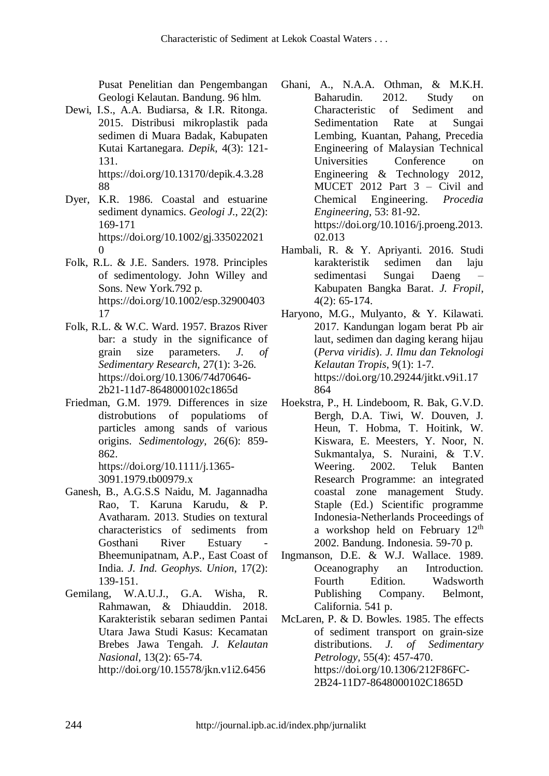Pusat Penelitian dan Pengembangan Geologi Kelautan. Bandung. 96 hlm.

Dewi, I.S., A.A. Budiarsa, & I.R. Ritonga. 2015. Distribusi mikroplastik pada sedimen di Muara Badak, Kabupaten Kutai Kartanegara. *Depik*, 4(3): 121- 131. [https://doi.org/10.13170/depik.4.3.28](https://doi.org/10.13170/depik.4.3.2888)

[88](https://doi.org/10.13170/depik.4.3.2888) Dyer, K.R. 1986. Coastal and estuarine sediment dynamics. *Geologi J.*, 22(2):

> 169-171 [https://doi.org/10.1002/gj.335022021](https://doi.org/10.1002/gj.3350220210)  $\Omega$

- Folk, R.L. & J.E. Sanders. 1978. Principles of sedimentology. John Willey and Sons. New York.792 p. [https://doi.org/10.1002/esp.32900403](https://doi.org/10.1002/esp.3290040317) [17](https://doi.org/10.1002/esp.3290040317)
- Folk, R.L. & W.C. Ward. 1957. Brazos River bar: a study in the significance of grain size parameters. *J. of Sedimentary Research,* 27(1): 3-26. https://doi.org/10.1306/74d70646- 2b21-11d7-8648000102c1865d
- Friedman, G.M. 1979. Differences in size distrobutions of populatioms of particles among sands of various origins. *Sedimentology*, 26(6): 859- 862.

[https://doi.org/10.1111/j.1365-](https://doi.org/10.1111/j.1365-3091.1979.tb00979.x) [3091.1979.tb00979.x](https://doi.org/10.1111/j.1365-3091.1979.tb00979.x)

- Ganesh, B., A.G.S.S Naidu, M. Jagannadha Rao, T. Karuna Karudu, & P. Avatharam. 2013. Studies on textural characteristics of sediments from Gosthani River Estuary Bheemunipatnam, A.P., East Coast of India. *J. Ind. Geophys. Union*, 17(2): 139-151.
- Gemilang, W.A.U.J., G.A. Wisha, R. Rahmawan, & Dhiauddin. 2018. Karakteristik sebaran sedimen Pantai Utara Jawa Studi Kasus: Kecamatan Brebes Jawa Tengah. *J. Kelautan Nasional*, 13(2): 65-74. <http://doi.org/10.15578/jkn.v1i2.6456>
- Ghani, A., N.A.A. Othman, & M.K.H. Baharudin. 2012. Study on Characteristic of Sediment and Sedimentation Rate at Sungai Lembing, Kuantan, Pahang, Precedia Engineering of Malaysian Technical Universities Conference on Engineering & Technology 2012, MUCET 2012 Part 3 – Civil and Chemical Engineering. *Procedia Engineering*, 53: 81-92. [https://doi.org/10.1016/j.proeng.2013.](https://doi.org/10.1016/j.proeng.2013.02.013) [02.013](https://doi.org/10.1016/j.proeng.2013.02.013)
- Hambali, R. & Y. Apriyanti. 2016. Studi karakteristik sedimen dan laju sedimentasi Sungai Daeng – Kabupaten Bangka Barat. *J. Fropil*, 4(2): 65-174.
- Haryono, M.G., Mulyanto, & Y. Kilawati. 2017. Kandungan logam berat Pb air laut, sedimen dan daging kerang hijau (*Perva viridis*). *J. Ilmu dan Teknologi Kelautan Tropis*, 9(1): 1-7. [https://doi.org/10.29244/jitkt.v9i1.17](https://doi.org/10.29244/jitkt.v9i1.17864) [864](https://doi.org/10.29244/jitkt.v9i1.17864)
- Hoekstra, P., H. Lindeboom, R. Bak, G.V.D. Bergh, D.A. Tiwi, W. Douven, J. Heun, T. Hobma, T. Hoitink, W. Kiswara, E. Meesters, Y. Noor, N. Sukmantalya, S. Nuraini, & T.V. Weering. 2002. Teluk Banten Research Programme: an integrated coastal zone management Study. Staple (Ed.) Scientific programme Indonesia-Netherlands Proceedings of a workshop held on February 12th 2002. Bandung. Indonesia. 59-70 p.
- Ingmanson, D.E. & W.J. Wallace. 1989. Oceanography an Introduction. Fourth Edition. Wadsworth Publishing Company. Belmont, California. 541 p.
- McLaren, P. & D. Bowles. 1985. The effects of sediment transport on grain-size distributions. *J. of Sedimentary Petrology,* 55(4): 457-470. https://doi.org/10.1306/212F86FC-2B24-11D7-8648000102C1865D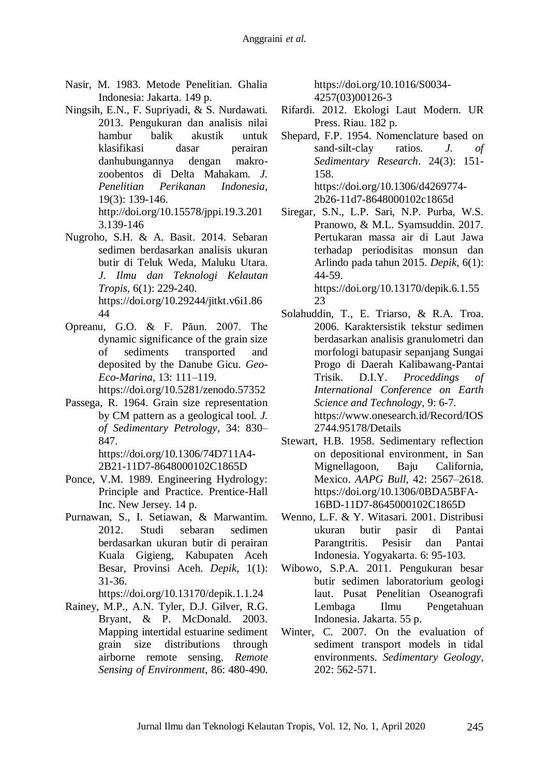- Nasir, M. 1983. Metode Penelitian. Ghalia Indonesia: Jakarta. 149 p.
- Ningsih, E.N., F. Supriyadi, & S. Nurdawati. 2013. Pengukuran dan analisis nilai hambur balik akustik untuk klasifikasi dasar perairan danhubungannya dengan makrozoobentos di Delta Mahakam. *J. Penelitian Perikanan Indonesia*, 19(3): 139-146. [http://doi.org/10.15578/jppi.19.3.201](http://doi.org/10.15578/jppi.19.3.2013.139-146) [3.139-146](http://doi.org/10.15578/jppi.19.3.2013.139-146)
- Nugroho, S.H. & A. Basit. 2014. Sebaran sedimen berdasarkan analisis ukuran butir di Teluk Weda, Maluku Utara. *J. Ilmu dan Teknologi Kelautan Tropis,* 6(1): 229-240. [https://doi.org/10.29244/jitkt.v6i1.86](https://doi.org/10.29244/jitkt.v6i1.8644) [44](https://doi.org/10.29244/jitkt.v6i1.8644)
- Opreanu, G.O. & F. Păun. 2007. The dynamic significance of the grain size of sediments transported and deposited by the Danube Gicu. *Geo-Eco-Marina*, 13: 111–119.

https://doi.org/10.5281/zenodo.57352

Passega, R. 1964. Grain size representation by CM pattern as a geological tool. *J. of Sedimentary Petrology*, 34: 830– 847.

https://doi.org[/10.1306/74D711A4-](https://ui.adsabs.harvard.edu/link_gateway/1964JSedR..34..830P/doi:10.1306/74D711A4-2B21-11D7-8648000102C1865D) [2B21-11D7-8648000102C1865D](https://ui.adsabs.harvard.edu/link_gateway/1964JSedR..34..830P/doi:10.1306/74D711A4-2B21-11D7-8648000102C1865D)

- Ponce, V.M. 1989. Engineering Hydrology: Principle and Practice. Prentice-Hall Inc. New Jersey. 14 p.
- Purnawan, S., I. Setiawan, & Marwantim. 2012. Studi sebaran sedimen berdasarkan ukuran butir di perairan Kuala Gigieng, Kabupaten Aceh Besar, Provinsi Aceh. *Depik*, 1(1): 31-36.

<https://doi.org/10.13170/depik.1.1.24>

Rainey, M.P., A.N. Tyler, D.J. Gilver, R.G. Bryant, & P. McDonald. 2003. Mapping intertidal estuarine sediment grain size distributions through airborne remote sensing. *Remote Sensing of Environment*, 86: 480-490.

https://doi.org/10.1016/S0034- 4257(03)00126-3

- Rifardi. 2012. Ekologi Laut Modern. UR Press. Riau. 182 p.
- Shepard, F.P. 1954. Nomenclature based on sand-silt-clay ratios. *J. of Sedimentary Research*. 24(3): 151- 158. https://doi.org/10.1306/d4269774- 2b26-11d7-8648000102c1865d
- Siregar, S.N., L.P. Sari, N.P. Purba, W.S. Pranowo, & M.L. Syamsuddin. 2017. Pertukaran massa air di Laut Jawa terhadap periodisitas monsun dan Arlindo pada tahun 2015. *Depik,* 6(1): 44-59. https://doi.org/10.13170/depik.6.1.55 23
- Solahuddin, T., E. Triarso, & R.A. Troa. 2006. Karaktersistik tekstur sedimen berdasarkan analisis granulometri dan morfologi batupasir sepanjang Sungai Progo di Daerah Kalibawang-Pantai Trisik. D.I.Y. *Proceddings of International Conference on Earth Science and Technology*, 9: 6-7. [https://www.onesearch.id/Record/IOS](https://www.onesearch.id/Record/IOS2744.95178/Details) [2744.95178/Details](https://www.onesearch.id/Record/IOS2744.95178/Details)
- Stewart, H.B. 1958. Sedimentary reflection on depositional environment, in San Mignellagoon, Baju California, Mexico. *AAPG Bull*, 42: 2567–2618. [https://doi.org/10.1306/0BDA5BFA-](https://doi.org/10.1306/0BDA5BFA-16BD-11D7-8645000102C1865D)[16BD-11D7-8645000102C1865D](https://doi.org/10.1306/0BDA5BFA-16BD-11D7-8645000102C1865D)
- Wenno, L.F. & Y. Witasari. 2001. Distribusi ukuran butir pasir di Pantai Parangtritis. Pesisir dan Pantai Indonesia. Yogyakarta. 6: 95-103.
- Wibowo, S.P.A. 2011. Pengukuran besar butir sedimen laboratorium geologi laut. Pusat Penelitian Oseanografi Lembaga Ilmu Pengetahuan Indonesia. Jakarta. 55 p.
- Winter, C. 2007. On the evaluation of sediment transport models in tidal environments. *Sedimentary Geology*, 202: 562-571.